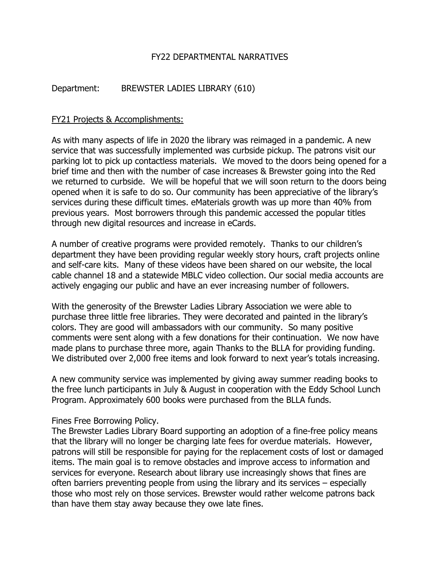## FY22 DEPARTMENTAL NARRATIVES

# Department: BREWSTER LADIES LIBRARY (610)

### FY21 Projects & Accomplishments:

As with many aspects of life in 2020 the library was reimaged in a pandemic. A new service that was successfully implemented was curbside pickup. The patrons visit our parking lot to pick up contactless materials. We moved to the doors being opened for a brief time and then with the number of case increases & Brewster going into the Red we returned to curbside. We will be hopeful that we will soon return to the doors being opened when it is safe to do so. Our community has been appreciative of the library's services during these difficult times. eMaterials growth was up more than 40% from previous years. Most borrowers through this pandemic accessed the popular titles through new digital resources and increase in eCards.

A number of creative programs were provided remotely. Thanks to our children's department they have been providing regular weekly story hours, craft projects online and self-care kits. Many of these videos have been shared on our website, the local cable channel 18 and a statewide MBLC video collection. Our social media accounts are actively engaging our public and have an ever increasing number of followers.

With the generosity of the Brewster Ladies Library Association we were able to purchase three little free libraries. They were decorated and painted in the library's colors. They are good will ambassadors with our community. So many positive comments were sent along with a few donations for their continuation. We now have made plans to purchase three more, again Thanks to the BLLA for providing funding. We distributed over 2,000 free items and look forward to next year's totals increasing.

A new community service was implemented by giving away summer reading books to the free lunch participants in July & August in cooperation with the Eddy School Lunch Program. Approximately 600 books were purchased from the BLLA funds.

Fines Free Borrowing Policy.

The Brewster Ladies Library Board supporting an adoption of a fine-free policy means that the library will no longer be charging late fees for overdue materials. However, patrons will still be responsible for paying for the replacement costs of lost or damaged items. The main goal is to remove obstacles and improve access to information and services for everyone. Research about library use increasingly shows that fines are often barriers preventing people from using the library and its services – especially those who most rely on those services. Brewster would rather welcome patrons back than have them stay away because they owe late fines.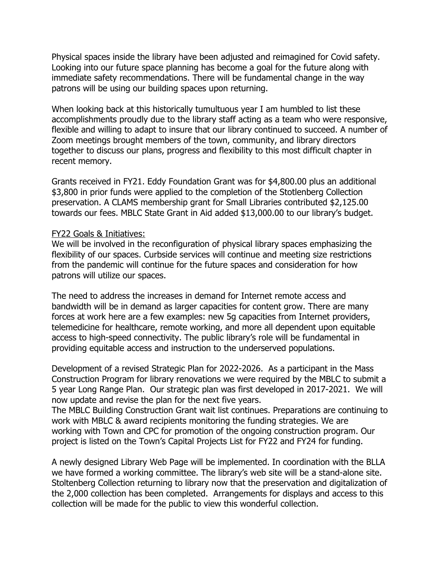Physical spaces inside the library have been adjusted and reimagined for Covid safety. Looking into our future space planning has become a goal for the future along with immediate safety recommendations. There will be fundamental change in the way patrons will be using our building spaces upon returning.

When looking back at this historically tumultuous year I am humbled to list these accomplishments proudly due to the library staff acting as a team who were responsive, flexible and willing to adapt to insure that our library continued to succeed. A number of Zoom meetings brought members of the town, community, and library directors together to discuss our plans, progress and flexibility to this most difficult chapter in recent memory.

Grants received in FY21. Eddy Foundation Grant was for \$4,800.00 plus an additional \$3,800 in prior funds were applied to the completion of the Stotlenberg Collection preservation. A CLAMS membership grant for Small Libraries contributed \$2,125.00 towards our fees. MBLC State Grant in Aid added \$13,000.00 to our library's budget.

### FY22 Goals & Initiatives:

We will be involved in the reconfiguration of physical library spaces emphasizing the flexibility of our spaces. Curbside services will continue and meeting size restrictions from the pandemic will continue for the future spaces and consideration for how patrons will utilize our spaces.

The need to address the increases in demand for Internet remote access and bandwidth will be in demand as larger capacities for content grow. There are many forces at work here are a few examples: new 5g capacities from Internet providers, telemedicine for healthcare, remote working, and more all dependent upon equitable access to high-speed connectivity. The public library's role will be fundamental in providing equitable access and instruction to the underserved populations.

Development of a revised Strategic Plan for 2022-2026. As a participant in the Mass Construction Program for library renovations we were required by the MBLC to submit a 5 year Long Range Plan. Our strategic plan was first developed in 2017-2021. We will now update and revise the plan for the next five years.

The MBLC Building Construction Grant wait list continues. Preparations are continuing to work with MBLC & award recipients monitoring the funding strategies. We are working with Town and CPC for promotion of the ongoing construction program. Our project is listed on the Town's Capital Projects List for FY22 and FY24 for funding.

A newly designed Library Web Page will be implemented. In coordination with the BLLA we have formed a working committee. The library's web site will be a stand-alone site. Stoltenberg Collection returning to library now that the preservation and digitalization of the 2,000 collection has been completed. Arrangements for displays and access to this collection will be made for the public to view this wonderful collection.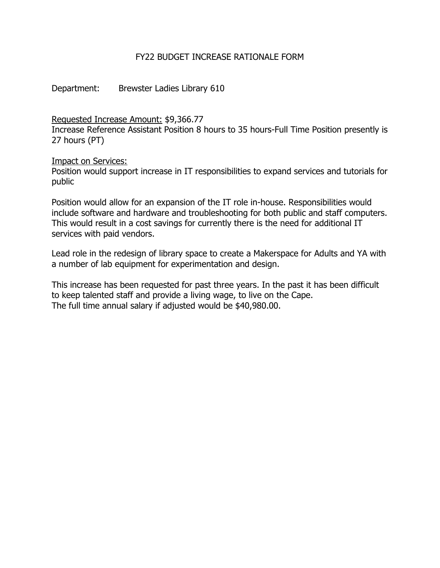## FY22 BUDGET INCREASE RATIONALE FORM

Department: Brewster Ladies Library 610

Requested Increase Amount: \$9,366.77

Increase Reference Assistant Position 8 hours to 35 hours-Full Time Position presently is 27 hours (PT)

Impact on Services:

Position would support increase in IT responsibilities to expand services and tutorials for public

Position would allow for an expansion of the IT role in-house. Responsibilities would include software and hardware and troubleshooting for both public and staff computers. This would result in a cost savings for currently there is the need for additional IT services with paid vendors.

Lead role in the redesign of library space to create a Makerspace for Adults and YA with a number of lab equipment for experimentation and design.

This increase has been requested for past three years. In the past it has been difficult to keep talented staff and provide a living wage, to live on the Cape. The full time annual salary if adjusted would be \$40,980.00.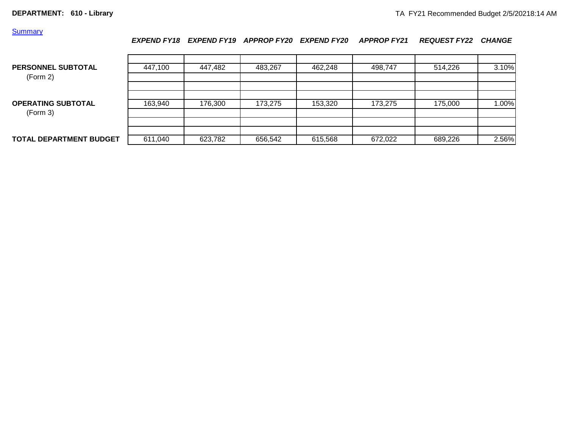### **Summary**

### *EXPEND FY18 EXPEND FY19 APPROP FY20 EXPEND FY20 APPROP FY21 REQUEST FY22 CHANGE*

| PERSONNEL SUBTOTAL<br>(Form 2)        | 447,100 | 447,482 | 483,267 | 462,248 | 498.747 | 514,226 | 3.10% |
|---------------------------------------|---------|---------|---------|---------|---------|---------|-------|
| <b>OPERATING SUBTOTAL</b><br>(Form 3) | 163,940 | 176,300 | 173,275 | 153,320 | 173.275 | 175,000 | 1.00% |
|                                       |         |         |         |         |         |         |       |
| <b>TOTAL DEPARTMENT BUDGET</b>        | 611,040 | 623,782 | 656,542 | 615,568 | 672,022 | 689,226 | 2.56% |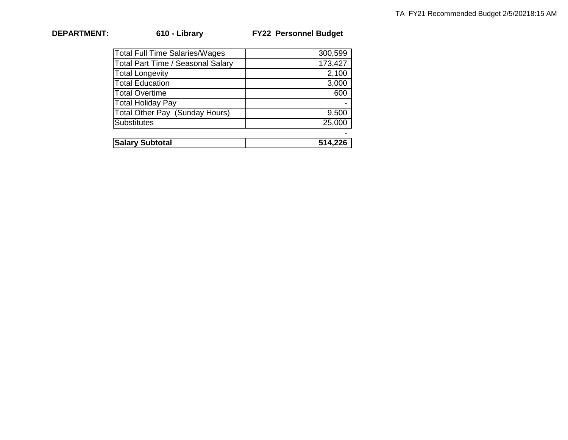| <b>DEPARTMENT:</b> |
|--------------------|
|                    |

**DEPARTMENT: 610 - Library FY22 Personnel Budget** 

| <b>Total Full Time Salaries/Wages</b> | 300,599 |
|---------------------------------------|---------|
| Total Part Time / Seasonal Salary     | 173,427 |
| <b>Total Longevity</b>                | 2,100   |
| <b>Total Education</b>                | 3,000   |
| <b>Total Overtime</b>                 | 600     |
| <b>Total Holiday Pay</b>              |         |
| Total Other Pay (Sunday Hours)        | 9,500   |
| Substitutes                           | 25,000  |
|                                       |         |
| <b>Salary Subtotal</b>                | 514,226 |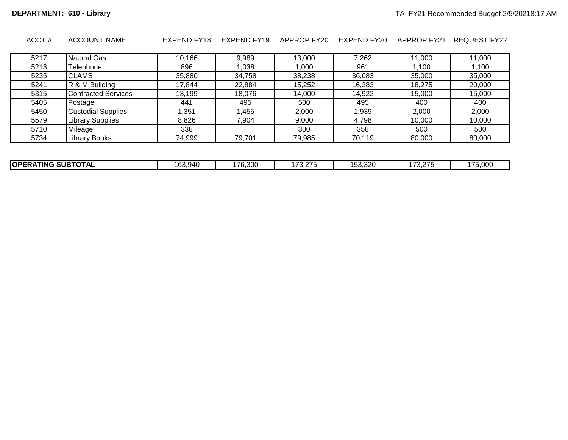| ACCT# | <b>ACCOUNT NAME</b>        | EXPEND FY18 | EXPEND FY19 | APPROP FY20 | EXPEND FY20 | <b>APPROP FY21</b> | REQUEST FY22 |
|-------|----------------------------|-------------|-------------|-------------|-------------|--------------------|--------------|
|       |                            |             |             |             |             |                    |              |
| 5217  | <b>Natural Gas</b>         | 10,166      | 9,989       | 13,000      | 7,262       | 11,000             | 11,000       |
| 5218  | Telephone                  | 896         | 1,038       | 1,000       | 961         | 1,100              | 1,100        |
| 5235  | <b>CLAMS</b>               | 35,880      | 34,758      | 38,238      | 36,083      | 35,000             | 35,000       |
| 5241  | R & M Building             | 17,844      | 22,884      | 15,252      | 16,383      | 18,275             | 20,000       |
| 5315  | <b>Contracted Services</b> | 13,199      | 18,076      | 14,000      | 14,922      | 15,000             | 15,000       |
| 5405  | Postage                    | 441         | 495         | 500         | 495         | 400                | 400          |
| 5450  | <b>Custodial Supplies</b>  | .351        | 455, ا      | 2,000       | 1,939       | 2,000              | 2,000        |
| 5579  | <b>Library Supplies</b>    | 8,826       | 7.904       | 9.000       | 4,798       | 10,000             | 10.000       |
| 5710  | Mileage                    | 338         |             | 300         | 358         | 500                | 500          |
| 5734  | <b>Library Books</b>       | 74,999      | 79,701      | 79,985      | 70,119      | 80,000             | 80,000       |
|       |                            |             |             |             |             |                    |              |

| <b>SUBTOTAL</b><br><b>OPERA</b><br><b>TING</b> | ^^<br>63.940<br>ın | 176<br>$\sim$ 300 $\sim$<br>טטר,ט ו | 170.075<br>, , ,<br>. ت. ب | $\epsilon$<br>$\sim$<br>ວ <i>ວ.ວ</i> ∠ບ | $\overline{\phantom{a}}$<br>$\sim$<br>v.z | $- -$<br>$\sim$ $\sim$ $\sim$<br>.<br>70.UU |
|------------------------------------------------|--------------------|-------------------------------------|----------------------------|-----------------------------------------|-------------------------------------------|---------------------------------------------|
|                                                |                    |                                     |                            |                                         |                                           |                                             |